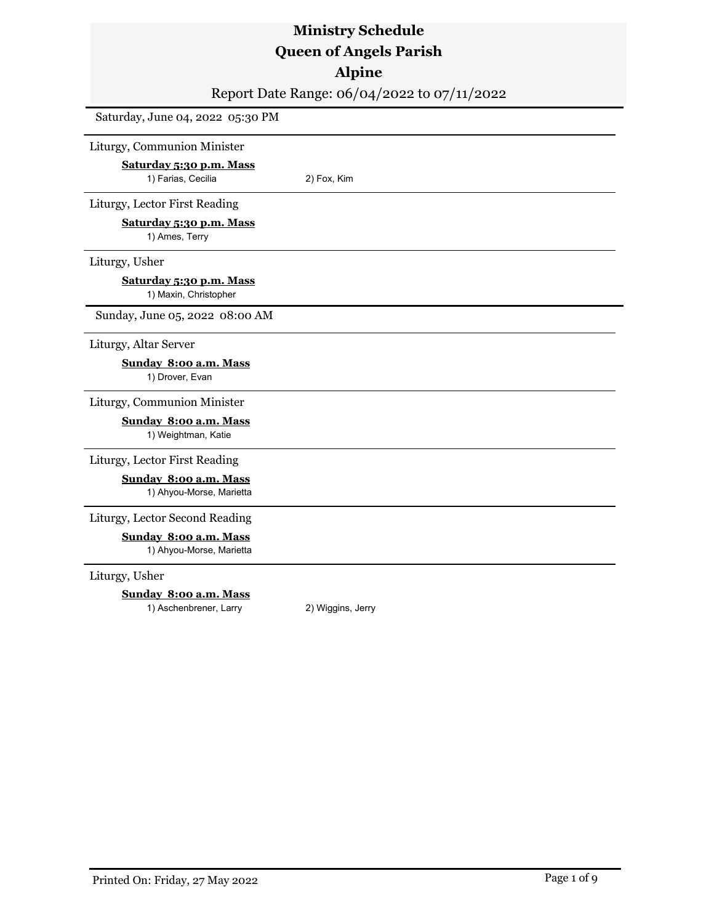### **Alpine**

Report Date Range: 06/04/2022 to 07/11/2022

Saturday, June 04, 2022 05:30 PM

Liturgy, Communion Minister

**Saturday 5:30 p.m. Mass** 1) Farias, Cecilia 2) Fox, Kim

Liturgy, Lector First Reading

**Saturday 5:30 p.m. Mass**

1) Ames, Terry

Liturgy, Usher

**Saturday 5:30 p.m. Mass**

1) Maxin, Christopher

Sunday, June 05, 2022 08:00 AM

Liturgy, Altar Server

**Sunday 8:00 a.m. Mass** 1) Drover, Evan

Liturgy, Communion Minister

**Sunday 8:00 a.m. Mass** 1) Weightman, Katie

Liturgy, Lector First Reading

**Sunday 8:00 a.m. Mass** 1) Ahyou-Morse, Marietta

Liturgy, Lector Second Reading

**Sunday 8:00 a.m. Mass** 1) Ahyou-Morse, Marietta

Liturgy, Usher

**Sunday 8:00 a.m. Mass** 1) Aschenbrener, Larry 2) Wiggins, Jerry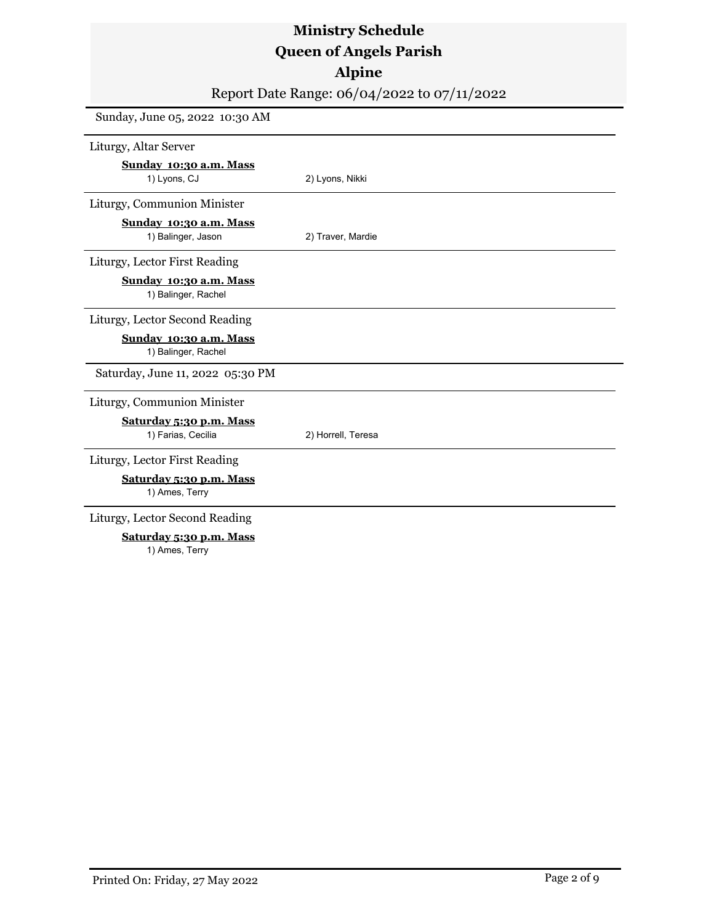### **Alpine**

Report Date Range: 06/04/2022 to 07/11/2022

Sunday, June 05, 2022 10:30 AM Liturgy, Altar Server **Sunday 10:30 a.m. Mass** 1) Lyons, CJ 2) Lyons, Nikki Liturgy, Communion Minister **Sunday 10:30 a.m. Mass** 1) Balinger, Jason 2) Traver, Mardie Liturgy, Lector First Reading **Sunday 10:30 a.m. Mass** 1) Balinger, Rachel Liturgy, Lector Second Reading **Sunday 10:30 a.m. Mass** 1) Balinger, Rachel Saturday, June 11, 2022 05:30 PM Liturgy, Communion Minister **Saturday 5:30 p.m. Mass** 1) Farias, Cecilia 2) Horrell, Teresa Liturgy, Lector First Reading **Saturday 5:30 p.m. Mass** 1) Ames, Terry Liturgy, Lector Second Reading **Saturday 5:30 p.m. Mass**

1) Ames, Terry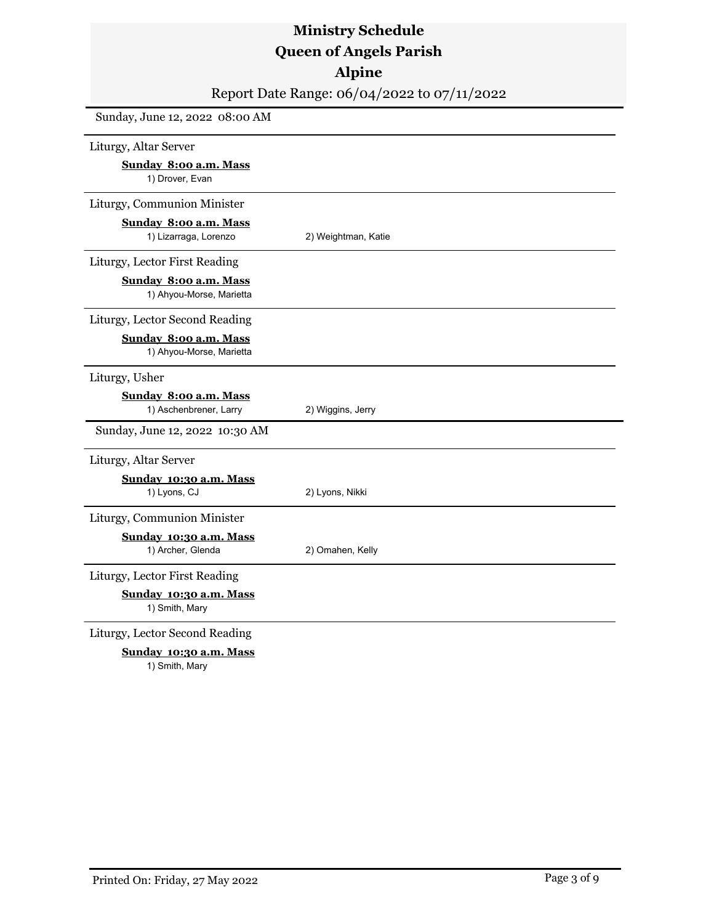Report Date Range: 06/04/2022 to 07/11/2022

| Liturgy, Altar Server                             |                     |
|---------------------------------------------------|---------------------|
| Sunday 8:00 a.m. Mass<br>1) Drover, Evan          |                     |
| Liturgy, Communion Minister                       |                     |
| Sunday 8:00 a.m. Mass<br>1) Lizarraga, Lorenzo    | 2) Weightman, Katie |
| Liturgy, Lector First Reading                     |                     |
| Sunday 8:00 a.m. Mass<br>1) Ahyou-Morse, Marietta |                     |
| Liturgy, Lector Second Reading                    |                     |
| Sunday 8:00 a.m. Mass<br>1) Ahyou-Morse, Marietta |                     |
| Liturgy, Usher                                    |                     |
| Sunday 8:00 a.m. Mass<br>1) Aschenbrener, Larry   | 2) Wiggins, Jerry   |
| Sunday, June 12, 2022 10:30 AM                    |                     |
| Liturgy, Altar Server                             |                     |
| Sunday 10:30 a.m. Mass<br>1) Lyons, CJ            | 2) Lyons, Nikki     |
| Liturgy, Communion Minister                       |                     |
| Sunday 10:30 a.m. Mass<br>1) Archer, Glenda       | 2) Omahen, Kelly    |
| Liturgy, Lector First Reading                     |                     |
| Sunday 10:30 a.m. Mass<br>1) Smith, Mary          |                     |
| Liturgy, Lector Second Reading                    |                     |
| Sunday 10:30 a.m. Mass<br>1) Smith, Mary          |                     |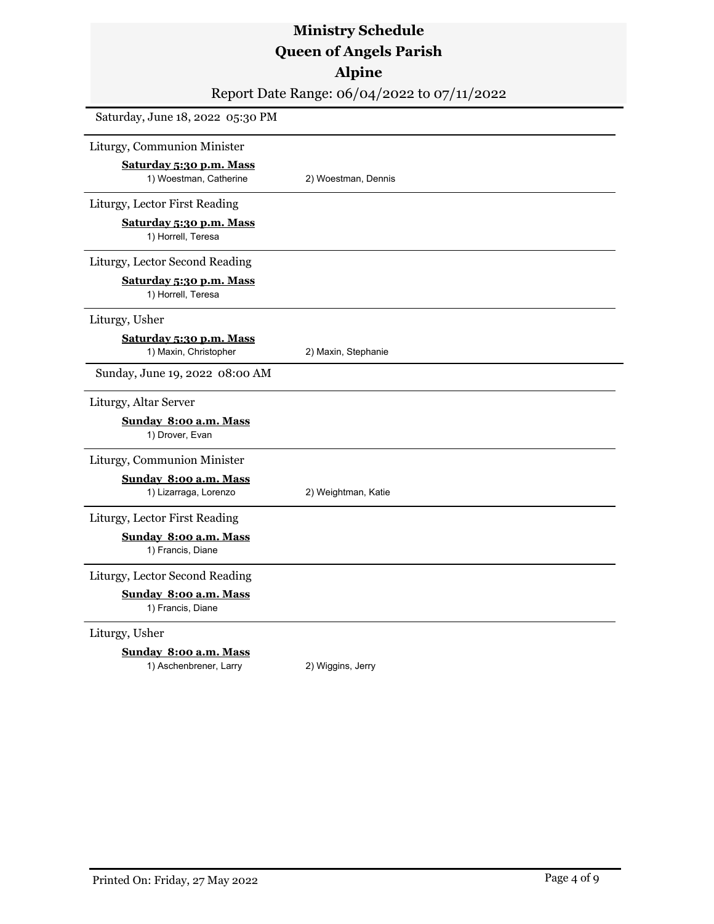## **Alpine**

Report Date Range: 06/04/2022 to 07/11/2022

| Saturday, June 18, 2022 05:30 PM                 |                     |
|--------------------------------------------------|---------------------|
| Liturgy, Communion Minister                      |                     |
| Saturday 5:30 p.m. Mass                          |                     |
| 1) Woestman, Catherine                           | 2) Woestman, Dennis |
| Liturgy, Lector First Reading                    |                     |
| Saturday 5:30 p.m. Mass<br>1) Horrell, Teresa    |                     |
| Liturgy, Lector Second Reading                   |                     |
| Saturday 5:30 p.m. Mass<br>1) Horrell, Teresa    |                     |
| Liturgy, Usher                                   |                     |
| Saturday 5:30 p.m. Mass<br>1) Maxin, Christopher | 2) Maxin, Stephanie |
| Sunday, June 19, 2022 08:00 AM                   |                     |
| Liturgy, Altar Server                            |                     |
| Sunday 8:00 a.m. Mass<br>1) Drover, Evan         |                     |
| Liturgy, Communion Minister                      |                     |
| Sunday 8:00 a.m. Mass                            |                     |
| 1) Lizarraga, Lorenzo                            | 2) Weightman, Katie |
| Liturgy, Lector First Reading                    |                     |
| Sunday 8:00 a.m. Mass<br>1) Francis, Diane       |                     |
| Liturgy, Lector Second Reading                   |                     |
| Sunday 8:00 a.m. Mass<br>1) Francis, Diane       |                     |
| Liturgy, Usher                                   |                     |

#### **Sunday 8:00 a.m. Mass**

1) Aschenbrener, Larry 2) Wiggins, Jerry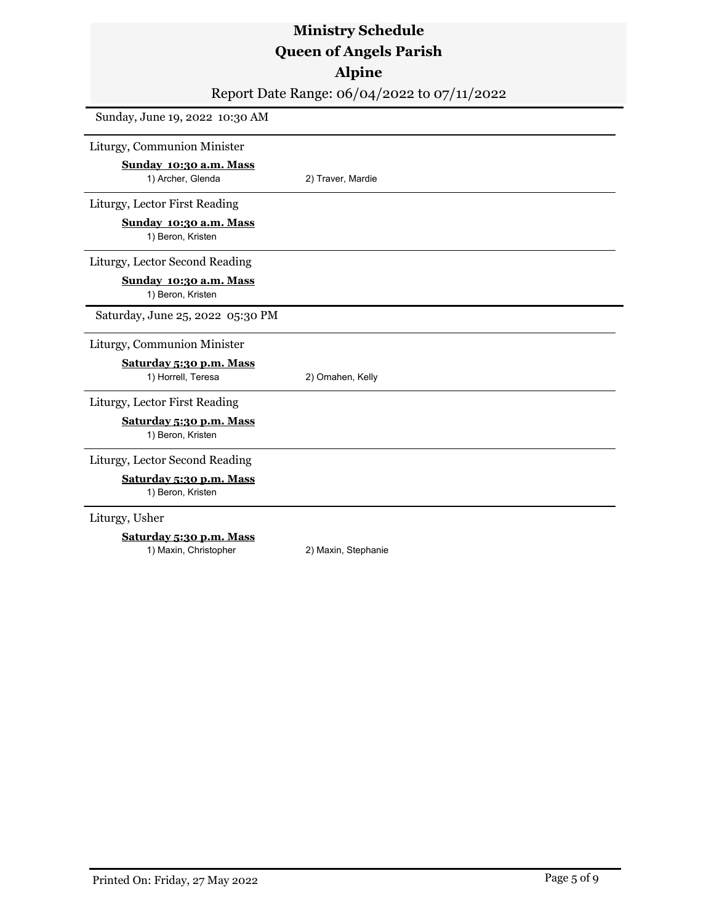### **Alpine**

Report Date Range: 06/04/2022 to 07/11/2022

Sunday, June 19, 2022 10:30 AM

Liturgy, Communion Minister

**Sunday 10:30 a.m. Mass** 1) Archer, Glenda 2) Traver, Mardie

Liturgy, Lector First Reading

**Sunday 10:30 a.m. Mass** 1) Beron, Kristen

Liturgy, Lector Second Reading

**Sunday 10:30 a.m. Mass**

1) Beron, Kristen

Saturday, June 25, 2022 05:30 PM

#### Liturgy, Communion Minister

**Saturday 5:30 p.m. Mass** 1) Horrell, Teresa 2) Omahen, Kelly

Liturgy, Lector First Reading

**Saturday 5:30 p.m. Mass**

1) Beron, Kristen

#### Liturgy, Lector Second Reading

**Saturday 5:30 p.m. Mass**

1) Beron, Kristen

Liturgy, Usher

#### **Saturday 5:30 p.m. Mass**

1) Maxin, Christopher 2) Maxin, Stephanie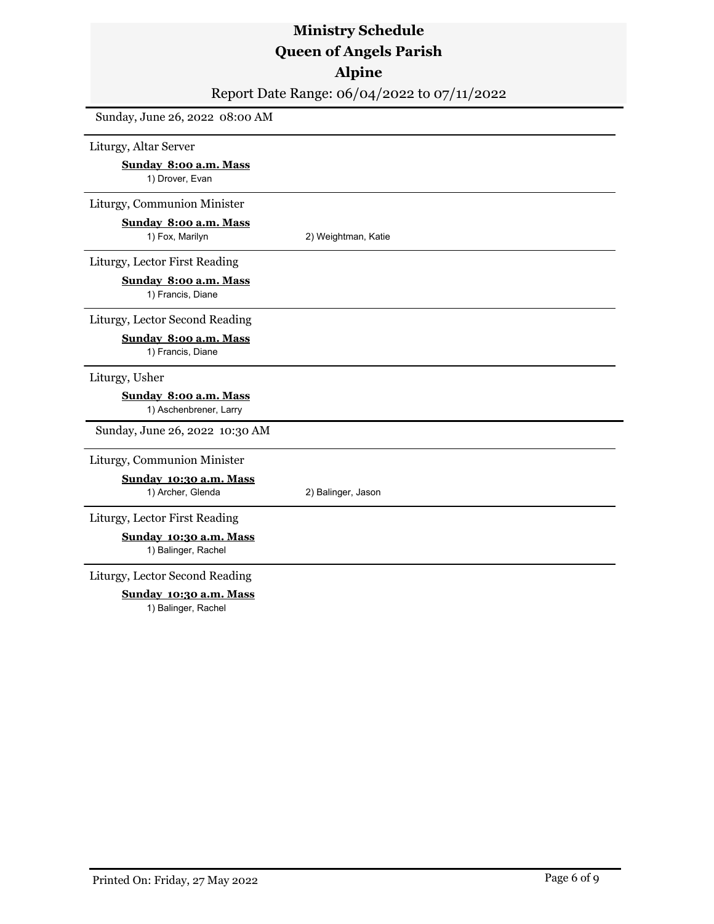### **Alpine**

Report Date Range: 06/04/2022 to 07/11/2022

Sunday, June 26, 2022 08:00 AM

Liturgy, Altar Server

**Sunday 8:00 a.m. Mass** 1) Drover, Evan

Liturgy, Communion Minister

### **Sunday 8:00 a.m. Mass**

1) Fox, Marilyn 2) Weightman, Katie

Liturgy, Lector First Reading

**Sunday 8:00 a.m. Mass**

1) Francis, Diane

Liturgy, Lector Second Reading

#### **Sunday 8:00 a.m. Mass**

1) Francis, Diane

#### Liturgy, Usher

#### **Sunday 8:00 a.m. Mass**

1) Aschenbrener, Larry

Sunday, June 26, 2022 10:30 AM

#### Liturgy, Communion Minister

**Sunday 10:30 a.m. Mass** 1) Archer, Glenda 2) Balinger, Jason

Liturgy, Lector First Reading

**Sunday 10:30 a.m. Mass** 1) Balinger, Rachel

Liturgy, Lector Second Reading

**Sunday 10:30 a.m. Mass**

1) Balinger, Rachel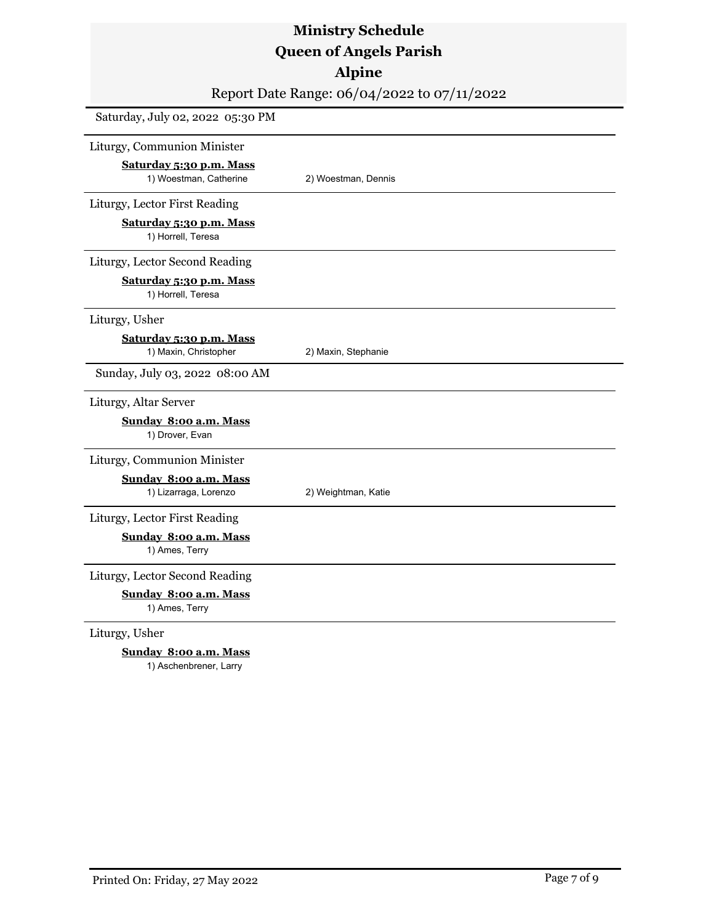### **Alpine**

Report Date Range: 06/04/2022 to 07/11/2022

| Saturday, July 02, 2022 05:30 PM                 |                     |
|--------------------------------------------------|---------------------|
| Liturgy, Communion Minister                      |                     |
| Saturday 5:30 p.m. Mass                          |                     |
| 1) Woestman, Catherine                           | 2) Woestman, Dennis |
| Liturgy, Lector First Reading                    |                     |
| Saturday 5:30 p.m. Mass<br>1) Horrell, Teresa    |                     |
| Liturgy, Lector Second Reading                   |                     |
| Saturday 5:30 p.m. Mass<br>1) Horrell, Teresa    |                     |
| Liturgy, Usher                                   |                     |
| Saturday 5:30 p.m. Mass<br>1) Maxin, Christopher | 2) Maxin, Stephanie |
| Sunday, July 03, 2022 08:00 AM                   |                     |
| Liturgy, Altar Server                            |                     |
| Sunday 8:00 a.m. Mass<br>1) Drover, Evan         |                     |
| Liturgy, Communion Minister                      |                     |
| Sunday 8:00 a.m. Mass                            |                     |
| 1) Lizarraga, Lorenzo                            | 2) Weightman, Katie |
| Liturgy, Lector First Reading                    |                     |
| Sunday 8:00 a.m. Mass<br>1) Ames, Terry          |                     |
| Liturgy, Lector Second Reading                   |                     |
| Sunday 8:00 a.m. Mass<br>1) Ames, Terry          |                     |
| Liturgy, Usher                                   |                     |

**Sunday 8:00 a.m. Mass**

1) Aschenbrener, Larry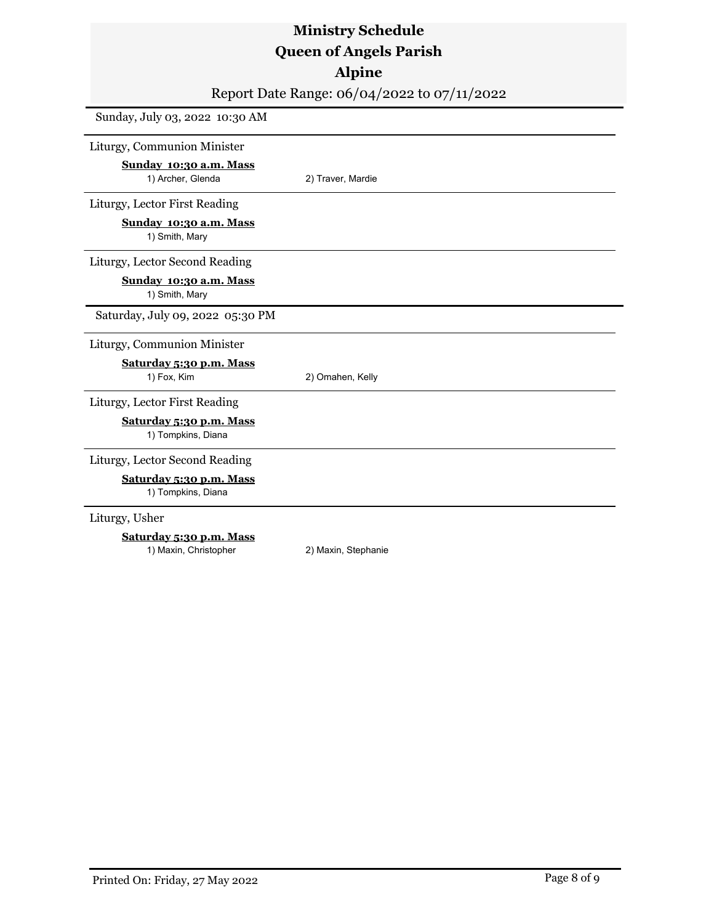### **Alpine**

Report Date Range: 06/04/2022 to 07/11/2022

Sunday, July 03, 2022 10:30 AM

Liturgy, Communion Minister

**Sunday 10:30 a.m. Mass** 1) Archer, Glenda 2) Traver, Mardie

Liturgy, Lector First Reading

**Sunday 10:30 a.m. Mass**

1) Smith, Mary

Liturgy, Lector Second Reading

**Sunday 10:30 a.m. Mass**

1) Smith, Mary

Saturday, July 09, 2022 05:30 PM

#### Liturgy, Communion Minister

**Saturday 5:30 p.m. Mass**

1) Fox, Kim 2) Omahen, Kelly

Liturgy, Lector First Reading

**Saturday 5:30 p.m. Mass** 1) Tompkins, Diana

#### Liturgy, Lector Second Reading

**Saturday 5:30 p.m. Mass**

1) Tompkins, Diana

Liturgy, Usher

#### **Saturday 5:30 p.m. Mass**

1) Maxin, Christopher 2) Maxin, Stephanie